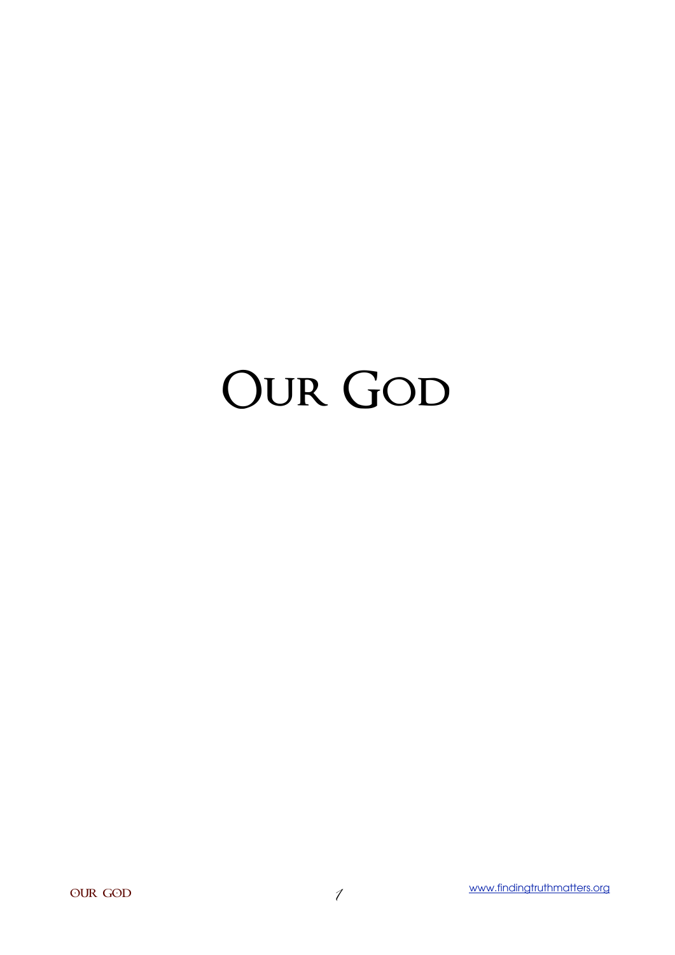# **Our God**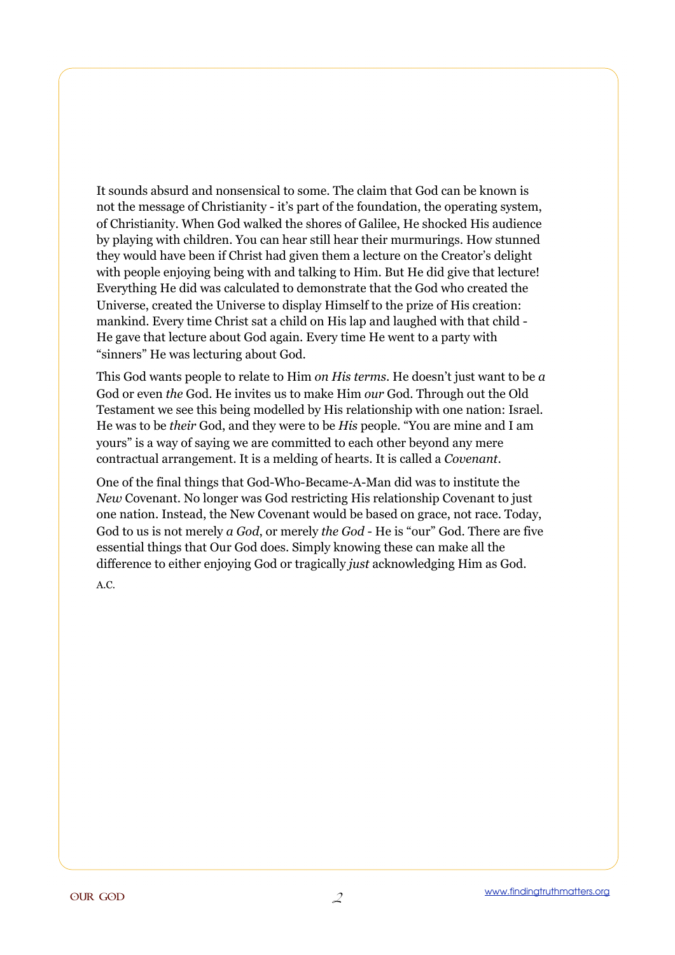It sounds absurd and nonsensical to some. The claim that God can be known is not the message of Christianity - it's part of the foundation, the operating system, of Christianity. When God walked the shores of Galilee, He shocked His audience by playing with children. You can hear still hear their murmurings. How stunned they would have been if Christ had given them a lecture on the Creator's delight with people enjoying being with and talking to Him. But He did give that lecture! Everything He did was calculated to demonstrate that the God who created the Universe, created the Universe to display Himself to the prize of His creation: mankind. Every time Christ sat a child on His lap and laughed with that child - He gave that lecture about God again. Every time He went to a party with "sinners" He was lecturing about God.

This God wants people to relate to Him *on His terms*. He doesn't just want to be *a*  God or even *the* God. He invites us to make Him *our* God. Through out the Old Testament we see this being modelled by His relationship with one nation: Israel. He was to be *their* God, and they were to be *His* people. "You are mine and I am yours" is a way of saying we are committed to each other beyond any mere contractual arrangement. It is a melding of hearts. It is called a *Covenant*.

One of the final things that God-Who-Became-A-Man did was to institute the *New* Covenant. No longer was God restricting His relationship Covenant to just one nation. Instead, the New Covenant would be based on grace, not race. Today, God to us is not merely *a God*, or merely *the God* - He is "our" God. There are five essential things that Our God does. Simply knowing these can make all the difference to either enjoying God or tragically *just* acknowledging Him as God.

A.C.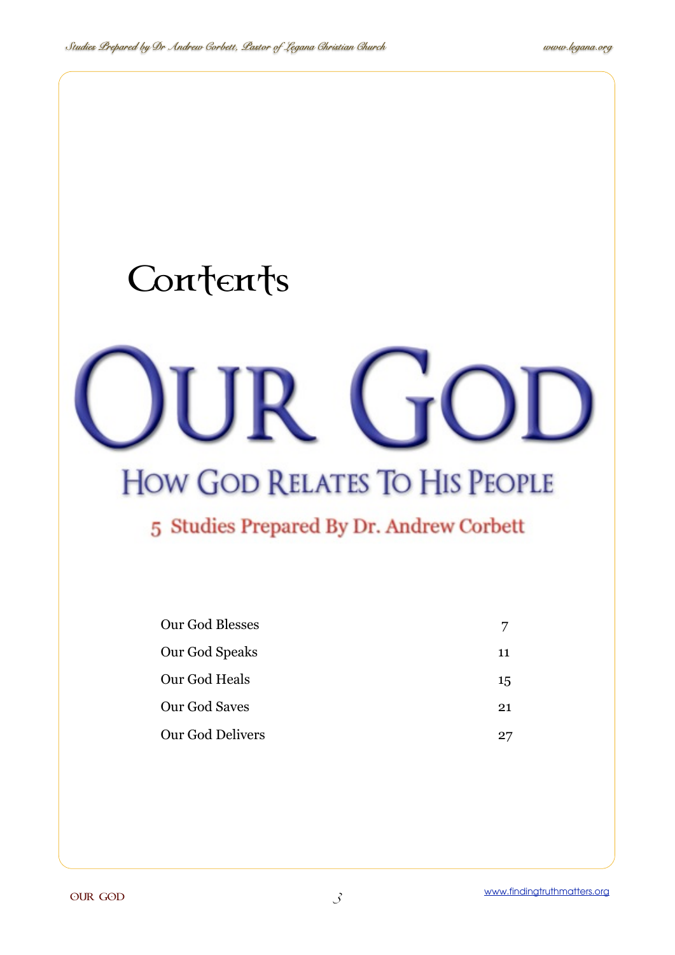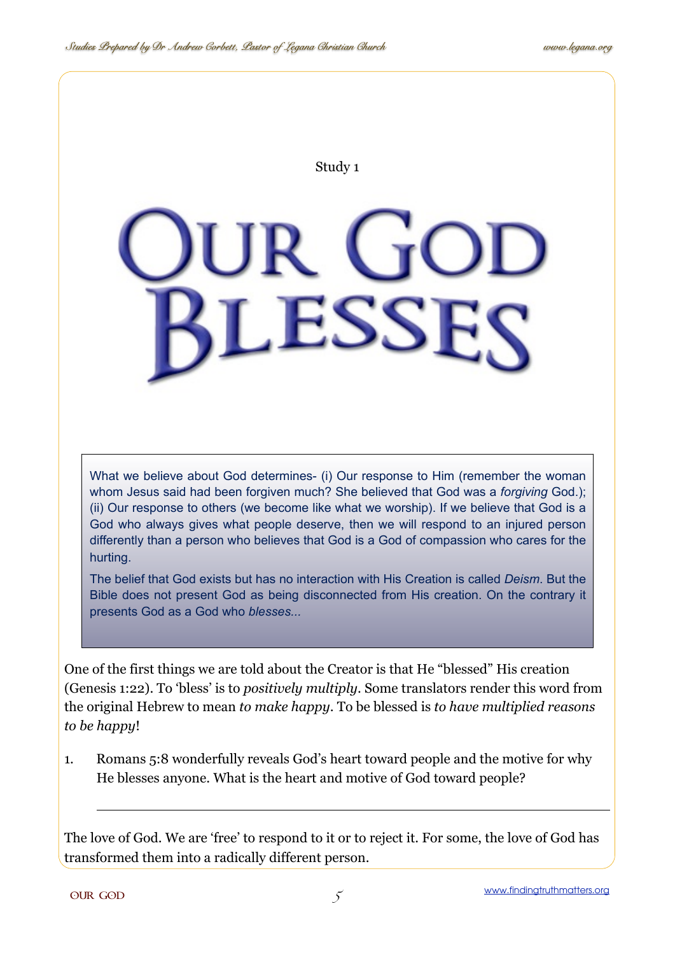Study 1

# LESS.

What we believe about God determines- (i) Our response to Him (remember the woman whom Jesus said had been forgiven much? She believed that God was a *forgiving* God.); (ii) Our response to others (we become like what we worship). If we believe that God is a God who always gives what people deserve, then we will respond to an injured person differently than a person who believes that God is a God of compassion who cares for the hurting.

The belief that God exists but has no interaction with His Creation is called *Deism*. But the Bible does not present God as being disconnected from His creation. On the contrary it presents God as a God who *blesses...*

One of the first things we are told about the Creator is that He "blessed" His creation (Genesis 1:22). To 'bless' is to *positively multiply*. Some translators render this word from the original Hebrew to mean *to make happy*. To be blessed is *to have multiplied reasons to be happy*!

1. Romans 5:8 wonderfully reveals God's heart toward people and the motive for why He blesses anyone. What is the heart and motive of God toward people?

The love of God. We are 'free' to respond to it or to reject it. For some, the love of God has transformed them into a radically different person.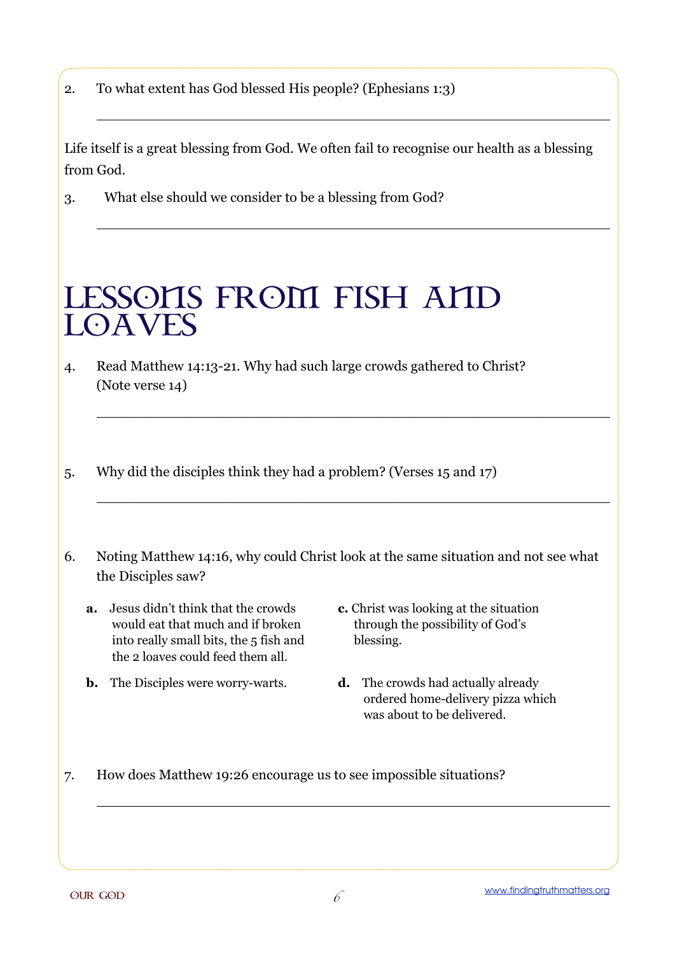2. To what extent has God blessed His people? (Ephesians 1:3)

Life itself is a great blessing from God. We often fail to recognise our health as a blessing from God.

3. What else should we consider to be a blessing from God?

### LESSONS FROM FISH AND **LOAVES**

4. Read Matthew 14:13-21. Why had such large crowds gathered to Christ? (Note verse 14)

5. Why did the disciples think they had a problem? (Verses 15 and 17)

- 6. Noting Matthew 14:16, why could Christ look at the same situation and not see what the Disciples saw?
	- **a.** Jesus didn't think that the crowds would eat that much and if broken into really small bits, the 5 fish and the 2 loaves could feed them all.
		-
	- **b.** The Disciples were worry-warts. **d.** The crowds had actually already
- **c.** Christ was looking at the situation through the possibility of God's blessing.
	- ordered home-delivery pizza which was about to be delivered.
- 7. How does Matthew 19:26 encourage us to see impossible situations?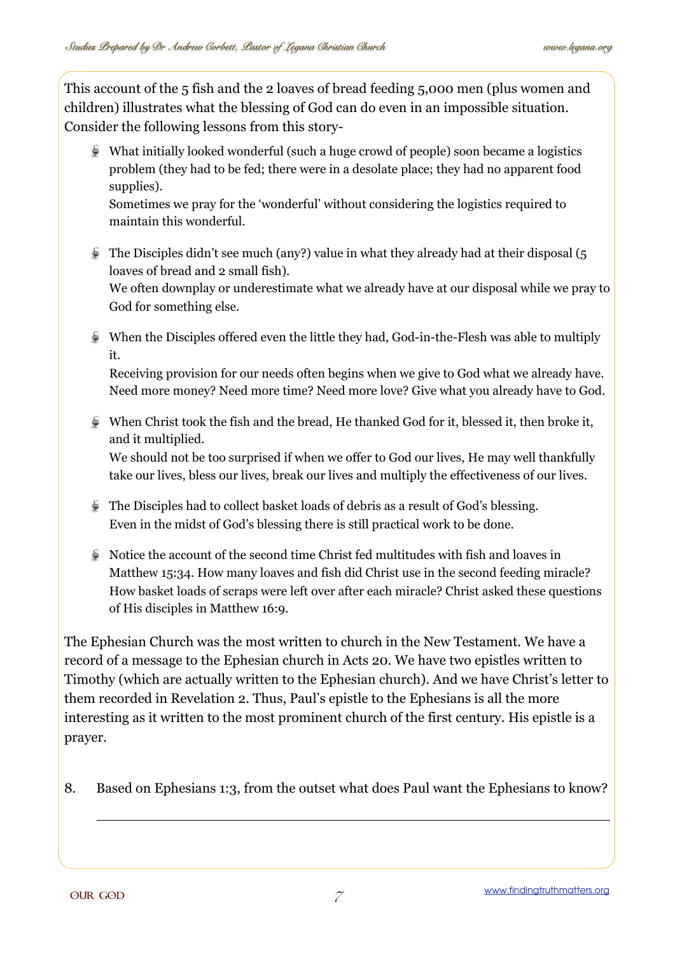This account of the 5 fish and the 2 loaves of bread feeding 5,000 men (plus women and children) illustrates what the blessing of God can do even in an impossible situation. Consider the following lessons from this story-

What initially looked wonderful (such a huge crowd of people) soon became a logistics problem (they had to be fed; there were in a desolate place; they had no apparent food supplies).

Sometimes we pray for the 'wonderful' without considering the logistics required to maintain this wonderful.

- $\degree$  The Disciples didn't see much (any?) value in what they already had at their disposal (5 loaves of bread and 2 small fish). We often downplay or underestimate what we already have at our disposal while we pray to God for something else.
- $\bullet$  When the Disciples offered even the little they had, God-in-the-Flesh was able to multiply it.

Receiving provision for our needs often begins when we give to God what we already have. Need more money? Need more time? Need more love? Give what you already have to God.

 $\bullet$  When Christ took the fish and the bread, He thanked God for it, blessed it, then broke it, and it multiplied.

We should not be too surprised if when we offer to God our lives, He may well thankfully take our lives, bless our lives, break our lives and multiply the effectiveness of our lives.

- $\bullet$  The Disciples had to collect basket loads of debris as a result of God's blessing. Even in the midst of God's blessing there is still practical work to be done.
- $\bullet$  Notice the account of the second time Christ fed multitudes with fish and loaves in Matthew 15:34. How many loaves and fish did Christ use in the second feeding miracle? How basket loads of scraps were left over after each miracle? Christ asked these questions of His disciples in Matthew 16:9.

The Ephesian Church was the most written to church in the New Testament. We have a record of a message to the Ephesian church in Acts 20. We have two epistles written to Timothy (which are actually written to the Ephesian church). And we have Christ's letter to them recorded in Revelation 2. Thus, Paul's epistle to the Ephesians is all the more interesting as it written to the most prominent church of the first century. His epistle is a prayer.

8. Based on Ephesians 1:3, from the outset what does Paul want the Ephesians to know?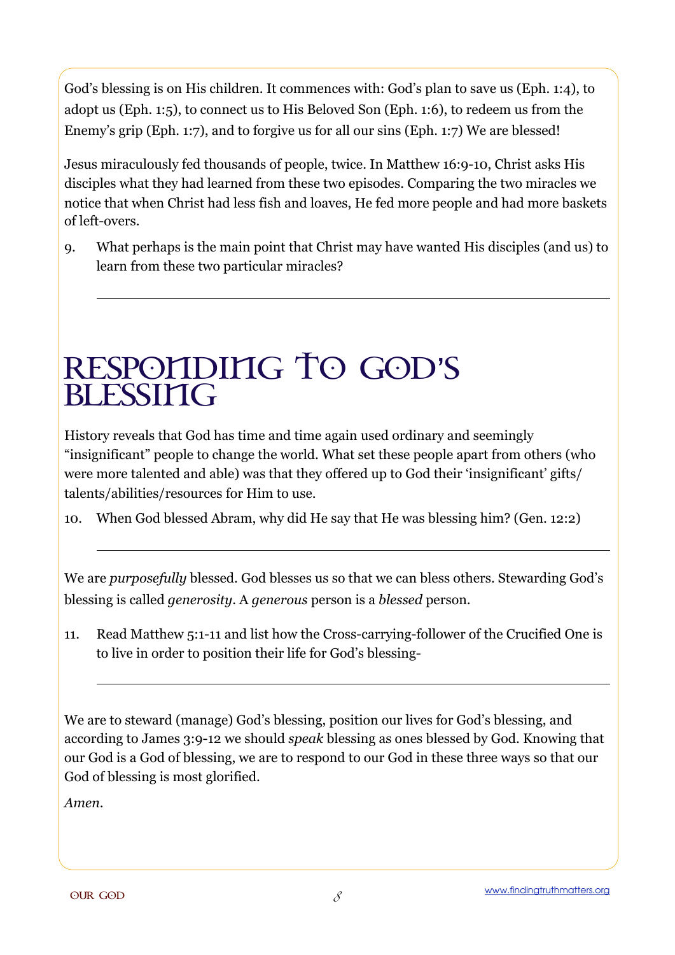God's blessing is on His children. It commences with: God's plan to save us (Eph. 1:4), to adopt us (Eph. 1:5), to connect us to His Beloved Son (Eph. 1:6), to redeem us from the Enemy's grip (Eph. 1:7), and to forgive us for all our sins (Eph. 1:7) We are blessed!

Jesus miraculously fed thousands of people, twice. In Matthew 16:9-10, Christ asks His disciples what they had learned from these two episodes. Comparing the two miracles we notice that when Christ had less fish and loaves, He fed more people and had more baskets of left-overs.

9. What perhaps is the main point that Christ may have wanted His disciples (and us) to learn from these two particular miracles?

### RESPONDING TO GOD'S **BLESSING**

History reveals that God has time and time again used ordinary and seemingly "insignificant" people to change the world. What set these people apart from others (who were more talented and able) was that they offered up to God their 'insignificant' gifts/ talents/abilities/resources for Him to use.

10. When God blessed Abram, why did He say that He was blessing him? (Gen. 12:2)

We are *purposefully* blessed. God blesses us so that we can bless others. Stewarding God's blessing is called *generosity*. A *generous* person is a *blessed* person.

11. Read Matthew 5:1-11 and list how the Cross-carrying-follower of the Crucified One is to live in order to position their life for God's blessing-

We are to steward (manage) God's blessing, position our lives for God's blessing, and according to James 3:9-12 we should *speak* blessing as ones blessed by God. Knowing that our God is a God of blessing, we are to respond to our God in these three ways so that our God of blessing is most glorified.

*Amen*.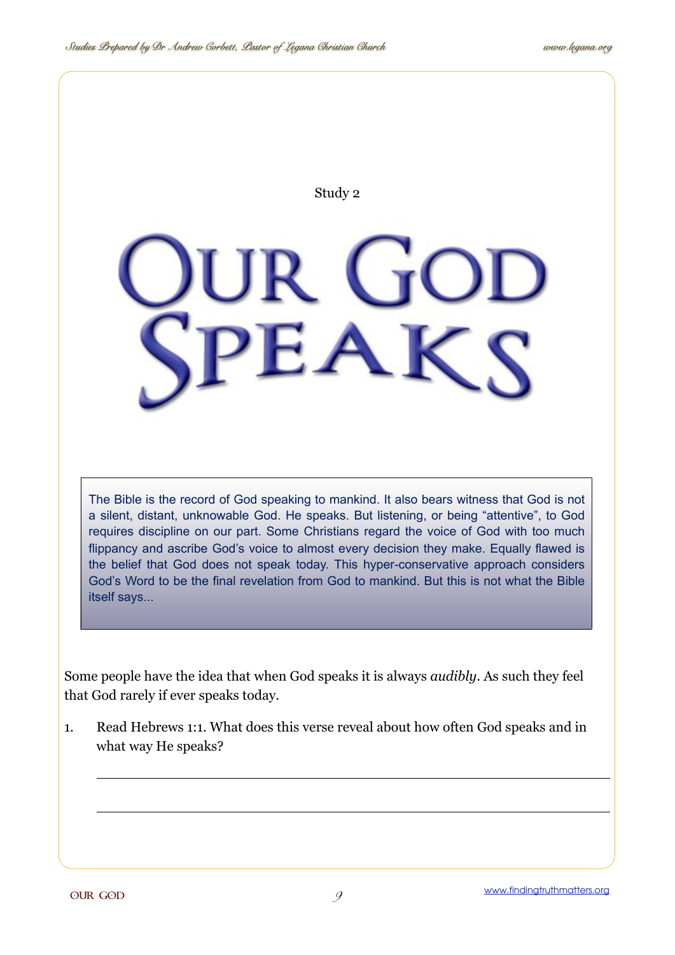

1. Read Hebrews 1:1. What does this verse reveal about how often God speaks and in what way He speaks?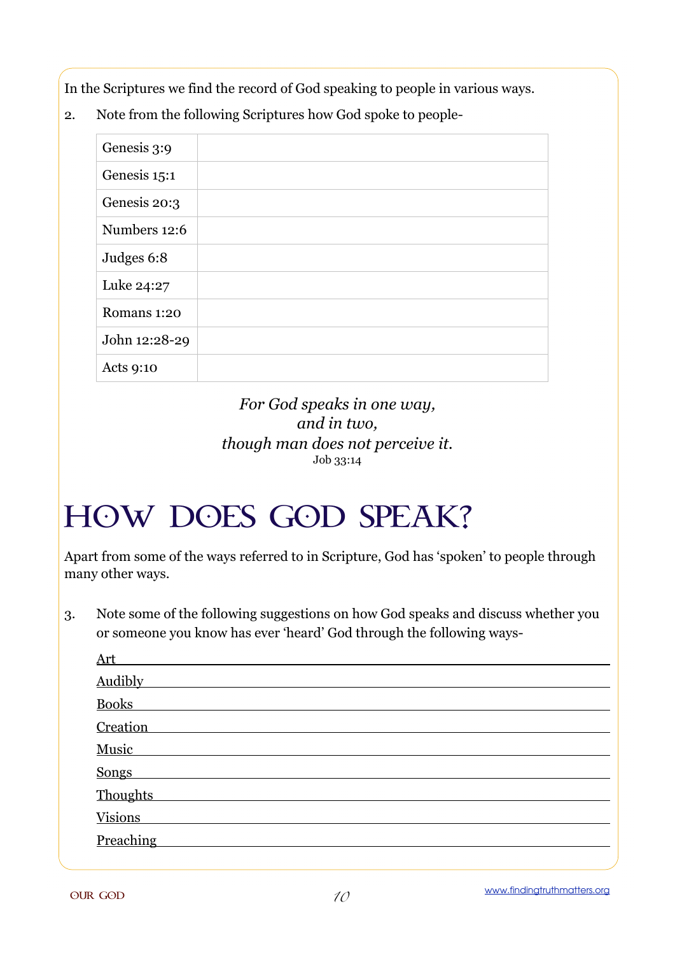In the Scriptures we find the record of God speaking to people in various ways.

2. Note from the following Scriptures how God spoke to people-

| Genesis 3:9      |  |
|------------------|--|
| Genesis 15:1     |  |
| Genesis 20:3     |  |
| Numbers 12:6     |  |
| Judges 6:8       |  |
| Luke 24:27       |  |
| Romans 1:20      |  |
| John 12:28-29    |  |
| <b>Acts 9:10</b> |  |

### *For God speaks in one way, and in two, though man does not perceive it.* Job 33:14

### HOW DOES GOD SPEAK?

Apart from some of the ways referred to in Scripture, God has 'spoken' to people through many other ways.

3. Note some of the following suggestions on how God speaks and discuss whether you or someone you know has ever 'heard' God through the following ways-

| <b>Art</b>        |
|-------------------|
| <b>Audibly</b>    |
| <b>Books</b>      |
| Creation          |
| Music             |
|                   |
| Songs<br>Thoughts |
| <b>Visions</b>    |
| Preaching         |
|                   |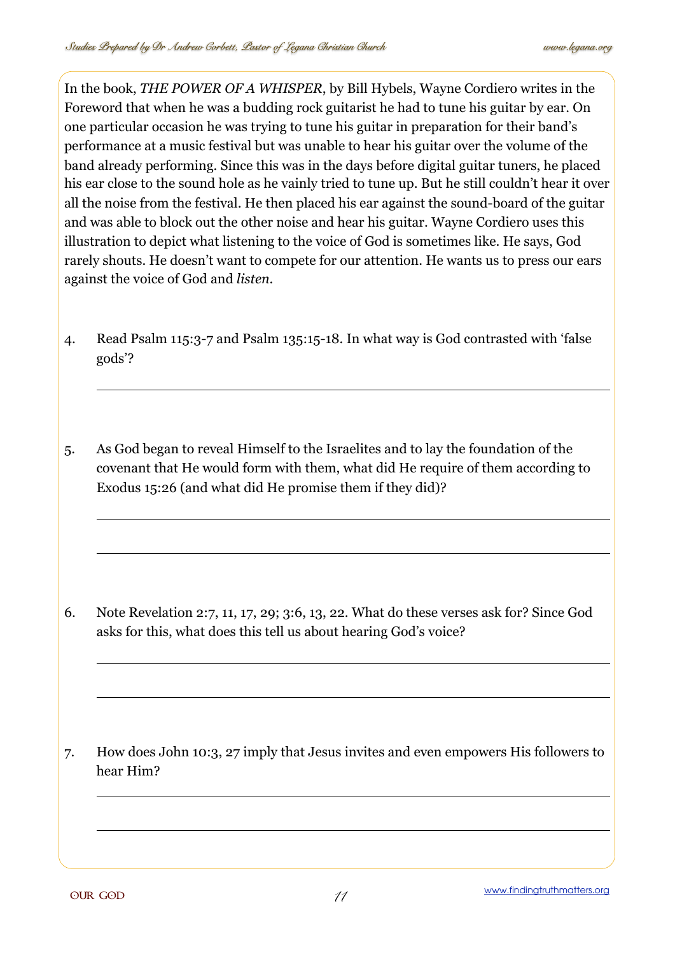In the book, *THE POWER OF A WHISPER*, by Bill Hybels, Wayne Cordiero writes in the Foreword that when he was a budding rock guitarist he had to tune his guitar by ear. On one particular occasion he was trying to tune his guitar in preparation for their band's performance at a music festival but was unable to hear his guitar over the volume of the band already performing. Since this was in the days before digital guitar tuners, he placed his ear close to the sound hole as he vainly tried to tune up. But he still couldn't hear it over all the noise from the festival. He then placed his ear against the sound-board of the guitar and was able to block out the other noise and hear his guitar. Wayne Cordiero uses this illustration to depict what listening to the voice of God is sometimes like. He says, God rarely shouts. He doesn't want to compete for our attention. He wants us to press our ears against the voice of God and *listen*.

- 4. Read Psalm 115:3-7 and Psalm 135:15-18. In what way is God contrasted with 'false gods'?
- 5. As God began to reveal Himself to the Israelites and to lay the foundation of the covenant that He would form with them, what did He require of them according to Exodus 15:26 (and what did He promise them if they did)?

6. Note Revelation 2:7, 11, 17, 29; 3:6, 13, 22. What do these verses ask for? Since God asks for this, what does this tell us about hearing God's voice?

7. How does John 10:3, 27 imply that Jesus invites and even empowers His followers to hear Him?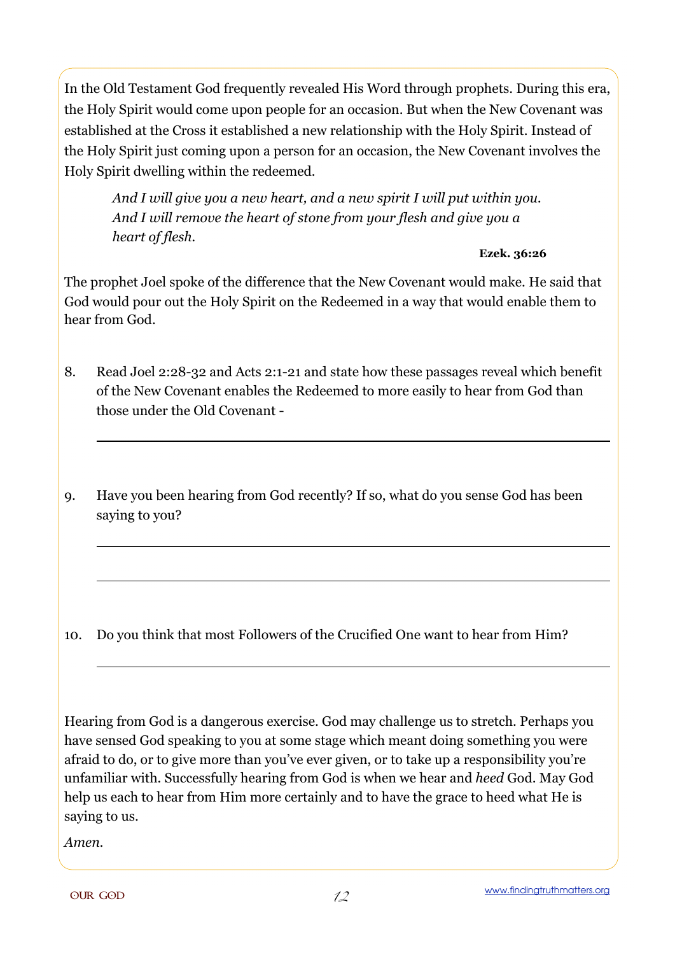In the Old Testament God frequently revealed His Word through prophets. During this era, the Holy Spirit would come upon people for an occasion. But when the New Covenant was established at the Cross it established a new relationship with the Holy Spirit. Instead of the Holy Spirit just coming upon a person for an occasion, the New Covenant involves the Holy Spirit dwelling within the redeemed.

*And I will give you a new heart, and a new spirit I will put within you. And I will remove the heart of stone from your flesh and give you a heart of flesh.*

### **Ezek. 36:26**

The prophet Joel spoke of the difference that the New Covenant would make. He said that God would pour out the Holy Spirit on the Redeemed in a way that would enable them to hear from God.

- 8. Read Joel 2:28-32 and Acts 2:1-21 and state how these passages reveal which benefit of the New Covenant enables the Redeemed to more easily to hear from God than those under the Old Covenant -
- 9. Have you been hearing from God recently? If so, what do you sense God has been saying to you?

10. Do you think that most Followers of the Crucified One want to hear from Him?

Hearing from God is a dangerous exercise. God may challenge us to stretch. Perhaps you have sensed God speaking to you at some stage which meant doing something you were afraid to do, or to give more than you've ever given, or to take up a responsibility you're unfamiliar with. Successfully hearing from God is when we hear and *heed* God. May God help us each to hear from Him more certainly and to have the grace to heed what He is saying to us.

*Amen.*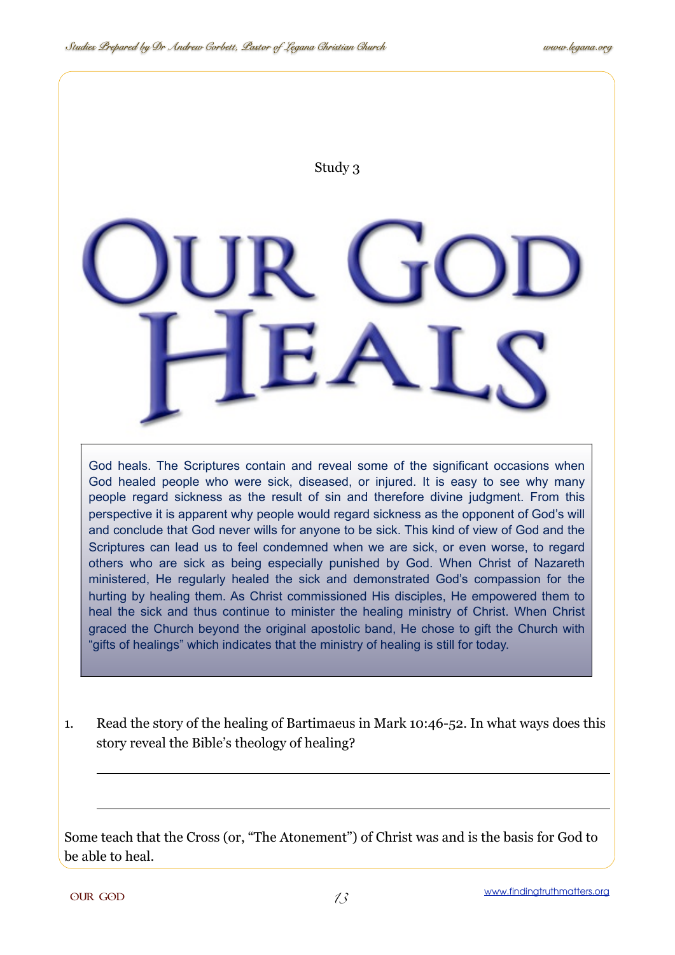

God heals. The Scriptures contain and reveal some of the significant occasions when God healed people who were sick, diseased, or injured. It is easy to see why many people regard sickness as the result of sin and therefore divine judgment. From this perspective it is apparent why people would regard sickness as the opponent of God's will and conclude that God never wills for anyone to be sick. This kind of view of God and the Scriptures can lead us to feel condemned when we are sick, or even worse, to regard others who are sick as being especially punished by God. When Christ of Nazareth ministered, He regularly healed the sick and demonstrated God's compassion for the hurting by healing them. As Christ commissioned His disciples, He empowered them to heal the sick and thus continue to minister the healing ministry of Christ. When Christ graced the Church beyond the original apostolic band, He chose to gift the Church with "gifts of healings" which indicates that the ministry of healing is still for today.

1. Read the story of the healing of Bartimaeus in Mark 10:46-52. In what ways does this story reveal the Bible's theology of healing?

Some teach that the Cross (or, "The Atonement") of Christ was and is the basis for God to be able to heal.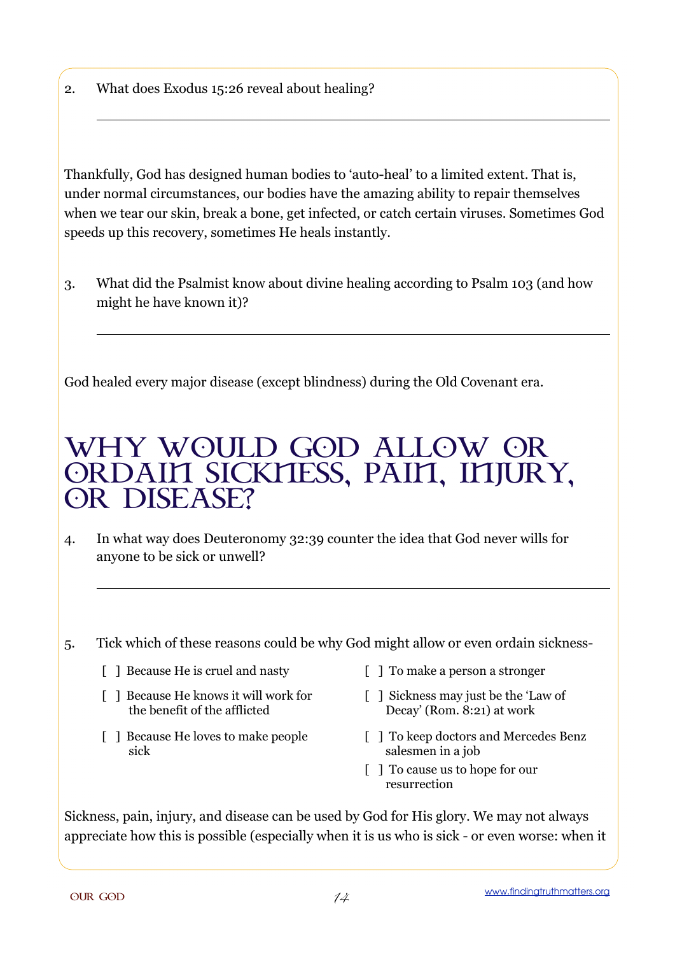2. What does Exodus 15:26 reveal about healing?

Thankfully, God has designed human bodies to 'auto-heal' to a limited extent. That is, under normal circumstances, our bodies have the amazing ability to repair themselves when we tear our skin, break a bone, get infected, or catch certain viruses. Sometimes God speeds up this recovery, sometimes He heals instantly.

3. What did the Psalmist know about divine healing according to Psalm 103 (and how might he have known it)?

God healed every major disease (except blindness) during the Old Covenant era.

### WHY WOULD GOD ALLOW OR ORDAIN SICKNESS, PAIN, INJURY, OR DISEASE?

4. In what way does Deuteronomy 32:39 counter the idea that God never wills for anyone to be sick or unwell?

5. Tick which of these reasons could be why God might allow or even ordain sickness-

- [ ] Because He is cruel and nasty [ ] To make a person a stronger
- [ ] Because He knows it will work for the benefit of the afflicted
- [ ] Because He loves to make people sick
- 
- [ ] Sickness may just be the 'Law of Decay' (Rom. 8:21) at work
- [ ] To keep doctors and Mercedes Benz salesmen in a job
- [ ] To cause us to hope for our resurrection

Sickness, pain, injury, and disease can be used by God for His glory. We may not always appreciate how this is possible (especially when it is us who is sick - or even worse: when it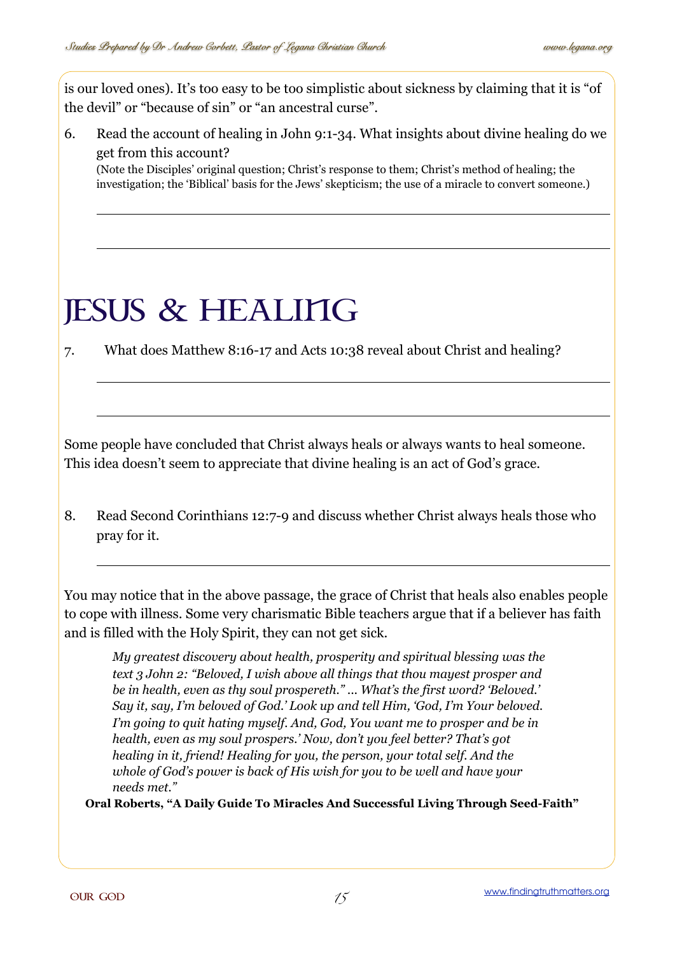is our loved ones). It's too easy to be too simplistic about sickness by claiming that it is "of the devil" or "because of sin" or "an ancestral curse".

6. Read the account of healing in John 9:1-34. What insights about divine healing do we get from this account?

(Note the Disciples' original question; Christ's response to them; Christ's method of healing; the investigation; the 'Biblical' basis for the Jews' skepticism; the use of a miracle to convert someone.)

### JESUS & HEALING

7. What does Matthew 8:16-17 and Acts 10:38 reveal about Christ and healing?

Some people have concluded that Christ always heals or always wants to heal someone. This idea doesn't seem to appreciate that divine healing is an act of God's grace.

8. Read Second Corinthians 12:7-9 and discuss whether Christ always heals those who pray for it.

You may notice that in the above passage, the grace of Christ that heals also enables people to cope with illness. Some very charismatic Bible teachers argue that if a believer has faith and is filled with the Holy Spirit, they can not get sick.

*My greatest discovery about health, prosperity and spiritual blessing was the text 3 John 2: "Beloved, I wish above all things that thou mayest prosper and be in health, even as thy soul prospereth." ... What's the first word? 'Beloved.' Say it, say, I'm beloved of God.' Look up and tell Him, 'God, I'm Your beloved. I'm going to quit hating myself. And, God, You want me to prosper and be in health, even as my soul prospers.' Now, don't you feel better? That's got healing in it, friend! Healing for you, the person, your total self. And the whole of God's power is back of His wish for you to be well and have your needs met."*

**Oral Roberts, "A Daily Guide To Miracles And Successful Living Through Seed-Faith"**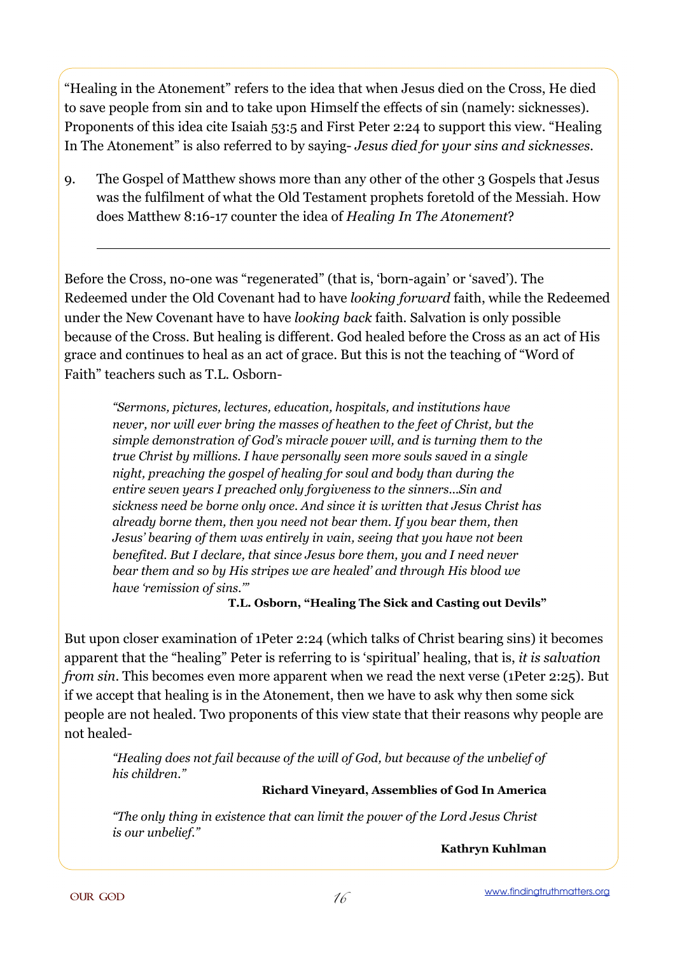"Healing in the Atonement" refers to the idea that when Jesus died on the Cross, He died to save people from sin and to take upon Himself the effects of sin (namely: sicknesses). Proponents of this idea cite Isaiah 53:5 and First Peter 2:24 to support this view. "Healing In The Atonement" is also referred to by saying- *Jesus died for your sins and sicknesses.*

9. The Gospel of Matthew shows more than any other of the other 3 Gospels that Jesus was the fulfilment of what the Old Testament prophets foretold of the Messiah. How does Matthew 8:16-17 counter the idea of *Healing In The Atonement*?

Before the Cross, no-one was "regenerated" (that is, 'born-again' or 'saved'). The Redeemed under the Old Covenant had to have *looking forward* faith, while the Redeemed under the New Covenant have to have *looking back* faith. Salvation is only possible because of the Cross. But healing is different. God healed before the Cross as an act of His grace and continues to heal as an act of grace. But this is not the teaching of "Word of Faith" teachers such as T.L. Osborn-

*"Sermons, pictures, lectures, education, hospitals, and institutions have never, nor will ever bring the masses of heathen to the feet of Christ, but the simple demonstration of God's miracle power will, and is turning them to the true Christ by millions. I have personally seen more souls saved in a single night, preaching the gospel of healing for soul and body than during the entire seven years I preached only forgiveness to the sinners...Sin and sickness need be borne only once. And since it is written that Jesus Christ has already borne them, then you need not bear them. If you bear them, then Jesus' bearing of them was entirely in vain, seeing that you have not been benefited. But I declare, that since Jesus bore them, you and I need never bear them and so by His stripes we are healed' and through His blood we have 'remission of sins.'"*

### **T.L. Osborn, "Healing The Sick and Casting out Devils"**

But upon closer examination of 1Peter 2:24 (which talks of Christ bearing sins) it becomes apparent that the "healing" Peter is referring to is 'spiritual' healing, that is, *it is salvation from sin.* This becomes even more apparent when we read the next verse (1Peter 2:25). But if we accept that healing is in the Atonement, then we have to ask why then some sick people are not healed. Two proponents of this view state that their reasons why people are not healed-

*"Healing does not fail because of the will of God, but because of the unbelief of his children."*

### **Richard Vineyard, Assemblies of God In America**

*"The only thing in existence that can limit the power of the Lord Jesus Christ is our unbelief."*

**Kathryn Kuhlman**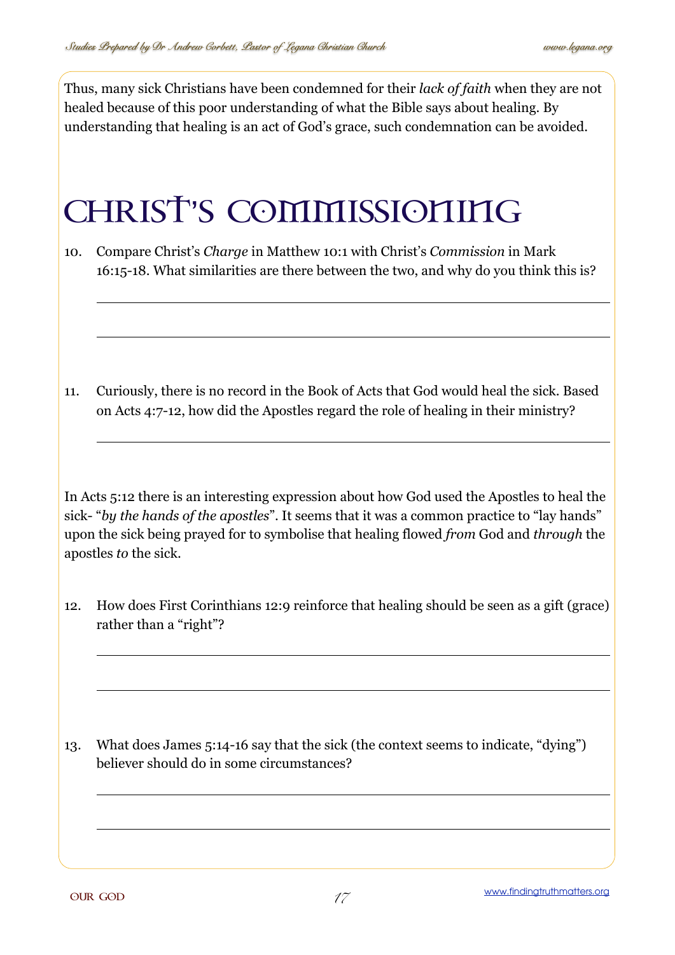Thus, many sick Christians have been condemned for their *lack of faith* when they are not healed because of this poor understanding of what the Bible says about healing. By understanding that healing is an act of God's grace, such condemnation can be avoided.

### CHRIST'S COMMISSIONING

10. Compare Christ's *Charge* in Matthew 10:1 with Christ's *Commission* in Mark 16:15-18. What similarities are there between the two, and why do you think this is?

11. Curiously, there is no record in the Book of Acts that God would heal the sick. Based on Acts 4:7-12, how did the Apostles regard the role of healing in their ministry?

In Acts 5:12 there is an interesting expression about how God used the Apostles to heal the sick- "*by the hands of the apostles*". It seems that it was a common practice to "lay hands" upon the sick being prayed for to symbolise that healing flowed *from* God and *through* the apostles *to* the sick.

12. How does First Corinthians 12:9 reinforce that healing should be seen as a gift (grace) rather than a "right"?

13. What does James 5:14-16 say that the sick (the context seems to indicate, "dying") believer should do in some circumstances?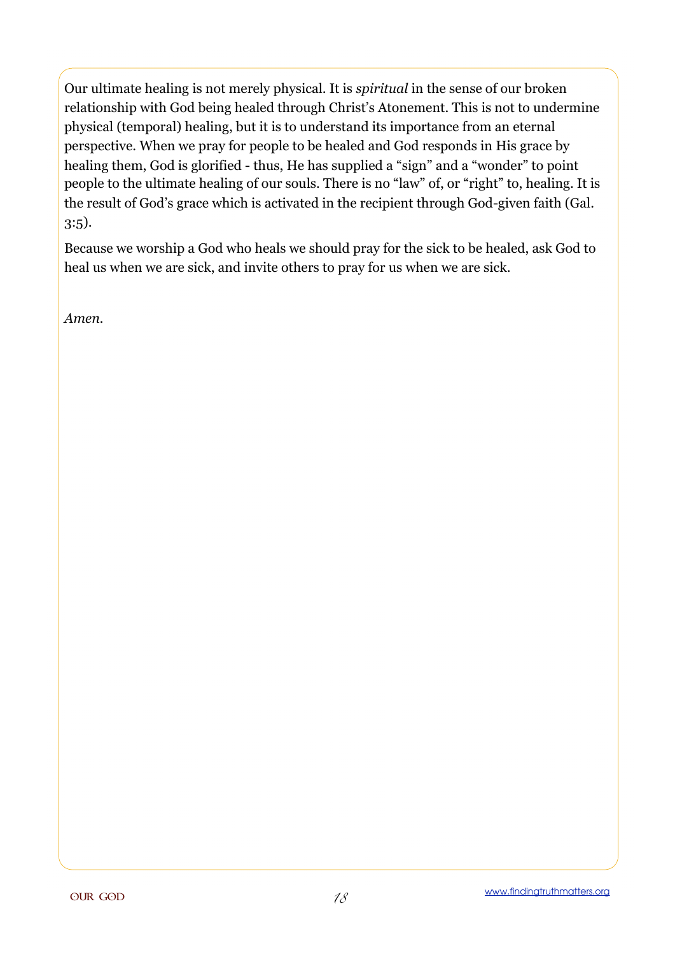Our ultimate healing is not merely physical. It is *spiritual* in the sense of our broken relationship with God being healed through Christ's Atonement. This is not to undermine physical (temporal) healing, but it is to understand its importance from an eternal perspective. When we pray for people to be healed and God responds in His grace by healing them, God is glorified - thus, He has supplied a "sign" and a "wonder" to point people to the ultimate healing of our souls. There is no "law" of, or "right" to, healing. It is the result of God's grace which is activated in the recipient through God-given faith (Gal. 3:5).

Because we worship a God who heals we should pray for the sick to be healed, ask God to heal us when we are sick, and invite others to pray for us when we are sick.

*Amen.*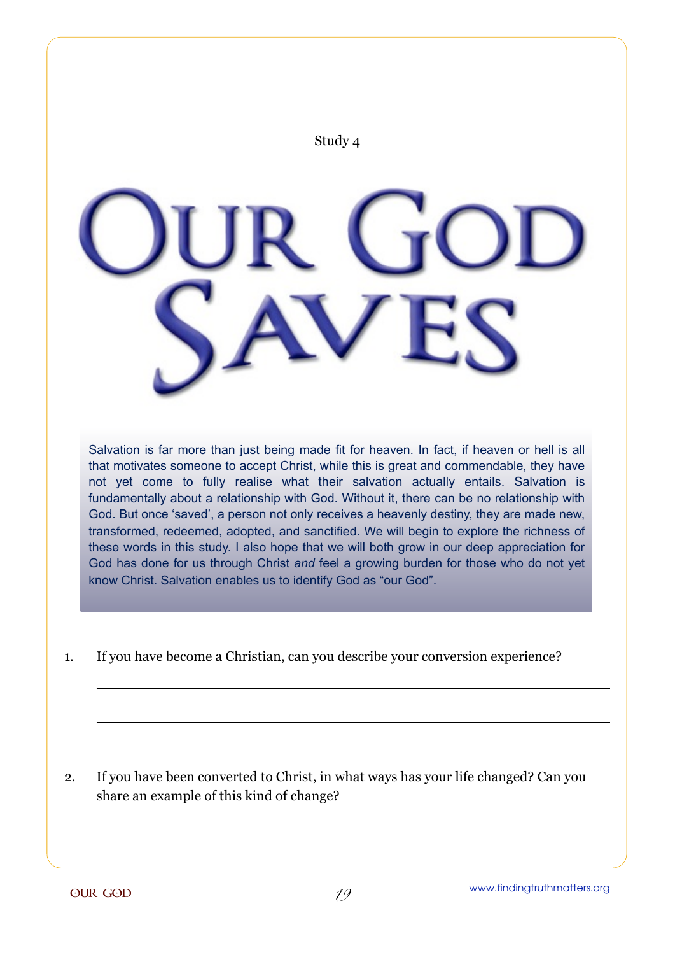

Salvation is far more than just being made fit for heaven. In fact, if heaven or hell is all that motivates someone to accept Christ, while this is great and commendable, they have not yet come to fully realise what their salvation actually entails. Salvation is fundamentally about a relationship with God. Without it, there can be no relationship with God. But once 'saved', a person not only receives a heavenly destiny, they are made new, transformed, redeemed, adopted, and sanctified. We will begin to explore the richness of these words in this study. I also hope that we will both grow in our deep appreciation for God has done for us through Christ *and* feel a growing burden for those who do not yet know Christ. Salvation enables us to identify God as "our God".

1. If you have become a Christian, can you describe your conversion experience?

2. If you have been converted to Christ, in what ways has your life changed? Can you share an example of this kind of change?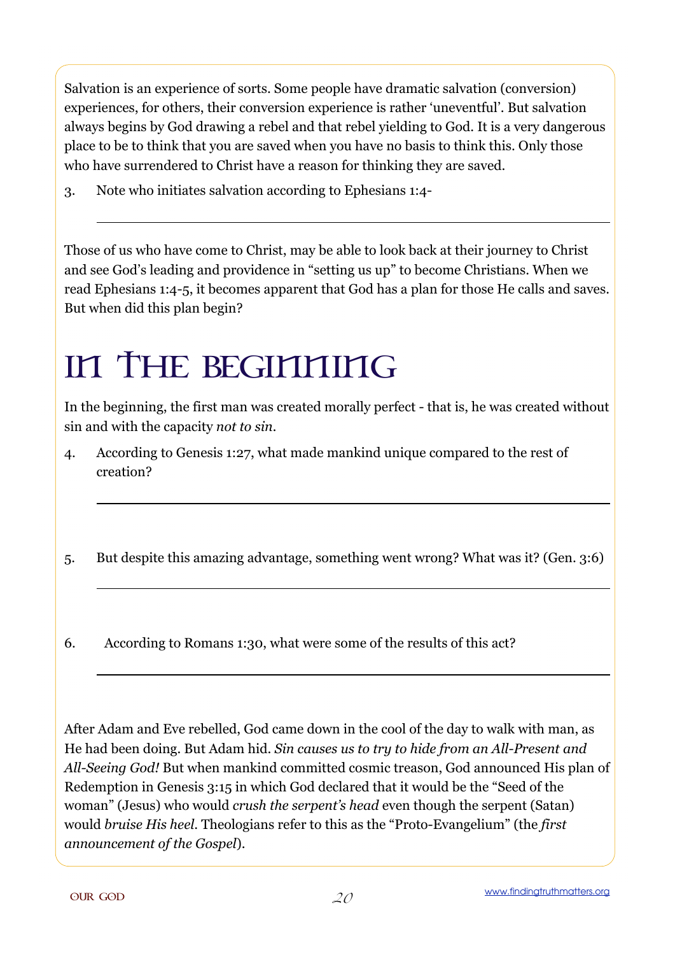Salvation is an experience of sorts. Some people have dramatic salvation (conversion) experiences, for others, their conversion experience is rather 'uneventful'. But salvation always begins by God drawing a rebel and that rebel yielding to God. It is a very dangerous place to be to think that you are saved when you have no basis to think this. Only those who have surrendered to Christ have a reason for thinking they are saved.

3. Note who initiates salvation according to Ephesians 1:4-

Those of us who have come to Christ, may be able to look back at their journey to Christ and see God's leading and providence in "setting us up" to become Christians. When we read Ephesians 1:4-5, it becomes apparent that God has a plan for those He calls and saves. But when did this plan begin?

## IN THE BEGINNING

In the beginning, the first man was created morally perfect - that is, he was created without sin and with the capacity *not to sin.*

- 4. According to Genesis 1:27, what made mankind unique compared to the rest of creation?
- 5. But despite this amazing advantage, something went wrong? What was it? (Gen. 3:6)
- 6. According to Romans 1:30, what were some of the results of this act?

After Adam and Eve rebelled, God came down in the cool of the day to walk with man, as He had been doing. But Adam hid. *Sin causes us to try to hide from an All-Present and All-Seeing God!* But when mankind committed cosmic treason, God announced His plan of Redemption in Genesis 3:15 in which God declared that it would be the "Seed of the woman" (Jesus) who would *crush the serpent's head* even though the serpent (Satan) would *bruise His heel*. Theologians refer to this as the "Proto-Evangelium" (the *first announcement of the Gospel*).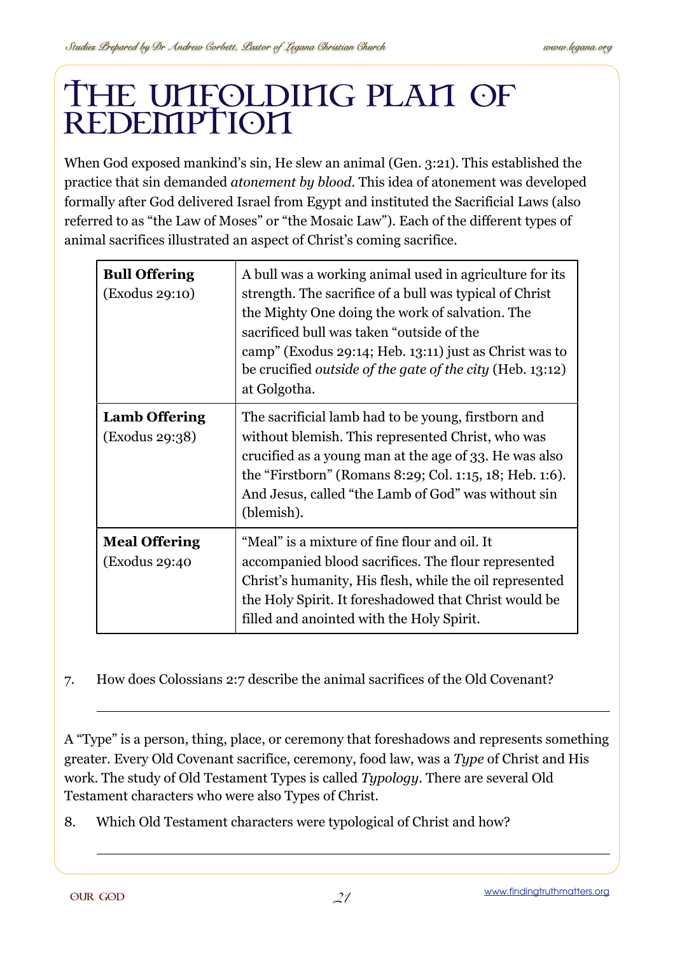### THE UNFOLDING PLAN OF REDEMPTION

When God exposed mankind's sin, He slew an animal (Gen. 3:21). This established the practice that sin demanded *atonement by blood*. This idea of atonement was developed formally after God delivered Israel from Egypt and instituted the Sacrificial Laws (also referred to as "the Law of Moses" or "the Mosaic Law"). Each of the different types of animal sacrifices illustrated an aspect of Christ's coming sacrifice.

| <b>Bull Offering</b><br>(Exodus 29:10) | A bull was a working animal used in agriculture for its<br>strength. The sacrifice of a bull was typical of Christ<br>the Mighty One doing the work of salvation. The<br>sacrificed bull was taken "outside of the<br>camp" (Exodus 29:14; Heb. 13:11) just as Christ was to<br>be crucified <i>outside of the gate of the city</i> (Heb. 13:12)<br>at Golgotha. |  |
|----------------------------------------|------------------------------------------------------------------------------------------------------------------------------------------------------------------------------------------------------------------------------------------------------------------------------------------------------------------------------------------------------------------|--|
| <b>Lamb Offering</b><br>(Exodus 29:38) | The sacrificial lamb had to be young, firstborn and<br>without blemish. This represented Christ, who was<br>crucified as a young man at the age of 33. He was also<br>the "Firstborn" (Romans 8:29; Col. 1:15, 18; Heb. 1:6).<br>And Jesus, called "the Lamb of God" was without sin<br>(blemish).                                                               |  |
| <b>Meal Offering</b><br>(Exodus 29:40  | "Meal" is a mixture of fine flour and oil. It<br>accompanied blood sacrifices. The flour represented<br>Christ's humanity, His flesh, while the oil represented<br>the Holy Spirit. It foreshadowed that Christ would be<br>filled and anointed with the Holy Spirit.                                                                                            |  |

7. How does Colossians 2:7 describe the animal sacrifices of the Old Covenant?

A "Type" is a person, thing, place, or ceremony that foreshadows and represents something greater. Every Old Covenant sacrifice, ceremony, food law, was a *Type* of Christ and His work. The study of Old Testament Types is called *Typology*. There are several Old Testament characters who were also Types of Christ.

8. Which Old Testament characters were typological of Christ and how?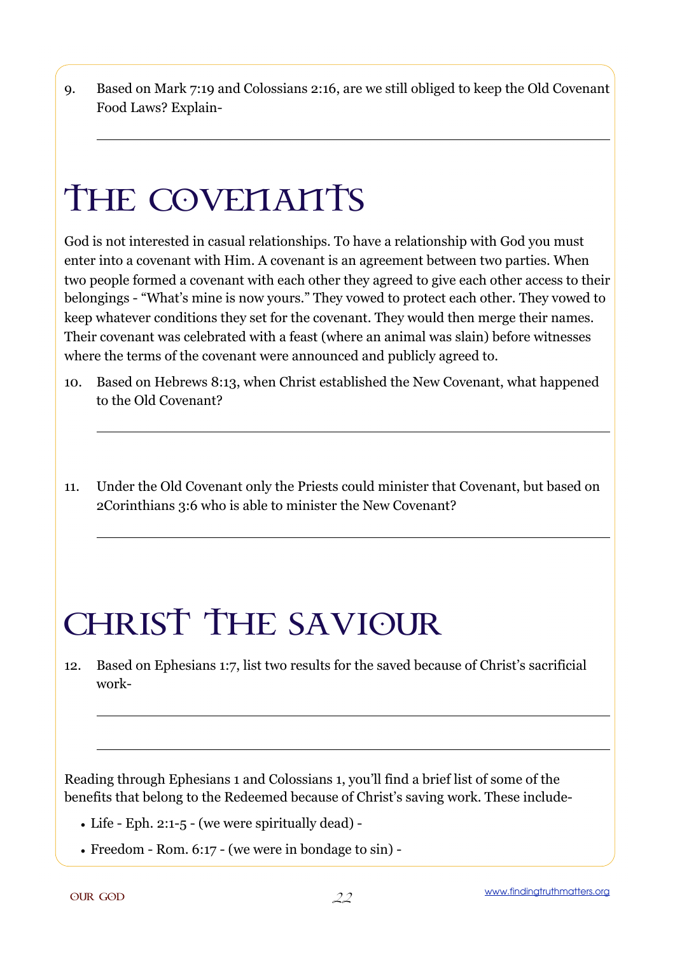9. Based on Mark 7:19 and Colossians 2:16, are we still obliged to keep the Old Covenant Food Laws? Explain-

# THE COVENANTS

God is not interested in casual relationships. To have a relationship with God you must enter into a covenant with Him. A covenant is an agreement between two parties. When two people formed a covenant with each other they agreed to give each other access to their belongings - "What's mine is now yours." They vowed to protect each other. They vowed to keep whatever conditions they set for the covenant. They would then merge their names. Their covenant was celebrated with a feast (where an animal was slain) before witnesses where the terms of the covenant were announced and publicly agreed to.

- 10. Based on Hebrews 8:13, when Christ established the New Covenant, what happened to the Old Covenant?
- 11. Under the Old Covenant only the Priests could minister that Covenant, but based on 2Corinthians 3:6 who is able to minister the New Covenant?

### CHRIST THE SAVIOUR

12. Based on Ephesians 1:7, list two results for the saved because of Christ's sacrificial work-

Reading through Ephesians 1 and Colossians 1, you'll find a brief list of some of the benefits that belong to the Redeemed because of Christ's saving work. These include-

- Life Eph. 2:1-5 (we were spiritually dead) -
- Freedom Rom. 6:17 (we were in bondage to sin) -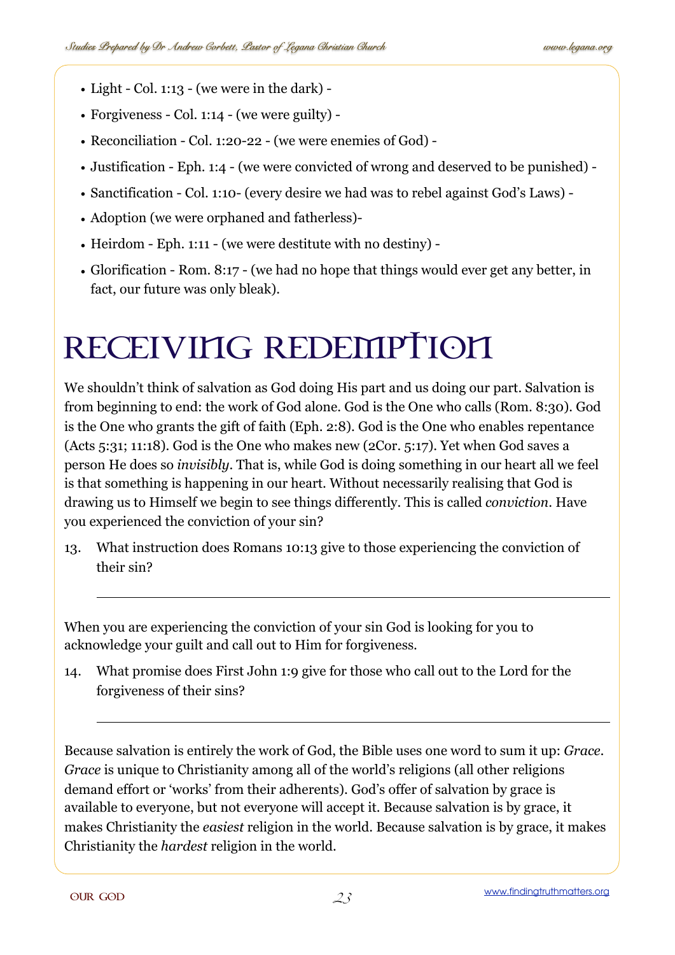- Light Col. 1:13 (we were in the dark) -
- Forgiveness Col. 1:14 (we were guilty) -
- Reconciliation Col. 1:20-22 (we were enemies of God) -
- Justification Eph. 1:4 (we were convicted of wrong and deserved to be punished) -
- Sanctification Col. 1:10- (every desire we had was to rebel against God's Laws) -
- Adoption (we were orphaned and fatherless)-
- Heirdom Eph. 1:11 (we were destitute with no destiny) -
- Glorification Rom. 8:17 (we had no hope that things would ever get any better, in fact, our future was only bleak).

## RECEIVING REDEMPTION

We shouldn't think of salvation as God doing His part and us doing our part. Salvation is from beginning to end: the work of God alone. God is the One who calls (Rom. 8:30). God is the One who grants the gift of faith (Eph. 2:8). God is the One who enables repentance (Acts 5:31; 11:18). God is the One who makes new (2Cor. 5:17). Yet when God saves a person He does so *invisibly*. That is, while God is doing something in our heart all we feel is that something is happening in our heart. Without necessarily realising that God is drawing us to Himself we begin to see things differently. This is called *conviction*. Have you experienced the conviction of your sin?

13. What instruction does Romans 10:13 give to those experiencing the conviction of their sin?

When you are experiencing the conviction of your sin God is looking for you to acknowledge your guilt and call out to Him for forgiveness.

14. What promise does First John 1:9 give for those who call out to the Lord for the forgiveness of their sins?

Because salvation is entirely the work of God, the Bible uses one word to sum it up: *Grace. Grace* is unique to Christianity among all of the world's religions (all other religions demand effort or 'works' from their adherents). God's offer of salvation by grace is available to everyone, but not everyone will accept it. Because salvation is by grace, it makes Christianity the *easiest* religion in the world. Because salvation is by grace, it makes Christianity the *hardest* religion in the world.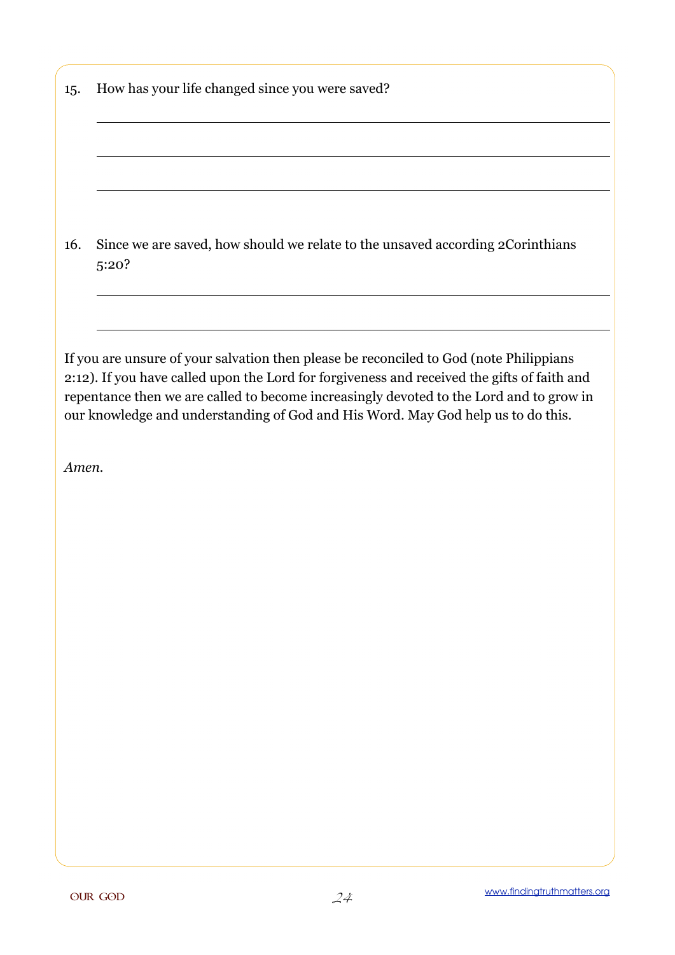| 15.   | How has your life changed since you were saved?                                                                                                                                                                                                                                                                                                                      |
|-------|----------------------------------------------------------------------------------------------------------------------------------------------------------------------------------------------------------------------------------------------------------------------------------------------------------------------------------------------------------------------|
|       |                                                                                                                                                                                                                                                                                                                                                                      |
|       |                                                                                                                                                                                                                                                                                                                                                                      |
|       |                                                                                                                                                                                                                                                                                                                                                                      |
| 16.   | Since we are saved, how should we relate to the unsaved according 2Corinthians<br>5:20?                                                                                                                                                                                                                                                                              |
|       |                                                                                                                                                                                                                                                                                                                                                                      |
|       | If you are unsure of your salvation then please be reconciled to God (note Philippians<br>2:12). If you have called upon the Lord for forgiveness and received the gifts of faith and<br>repentance then we are called to become increasingly devoted to the Lord and to grow in<br>our knowledge and understanding of God and His Word. May God help us to do this. |
| Amen. |                                                                                                                                                                                                                                                                                                                                                                      |
|       |                                                                                                                                                                                                                                                                                                                                                                      |
|       |                                                                                                                                                                                                                                                                                                                                                                      |
|       |                                                                                                                                                                                                                                                                                                                                                                      |
|       |                                                                                                                                                                                                                                                                                                                                                                      |
|       |                                                                                                                                                                                                                                                                                                                                                                      |
|       |                                                                                                                                                                                                                                                                                                                                                                      |
|       |                                                                                                                                                                                                                                                                                                                                                                      |
|       |                                                                                                                                                                                                                                                                                                                                                                      |
|       |                                                                                                                                                                                                                                                                                                                                                                      |
|       |                                                                                                                                                                                                                                                                                                                                                                      |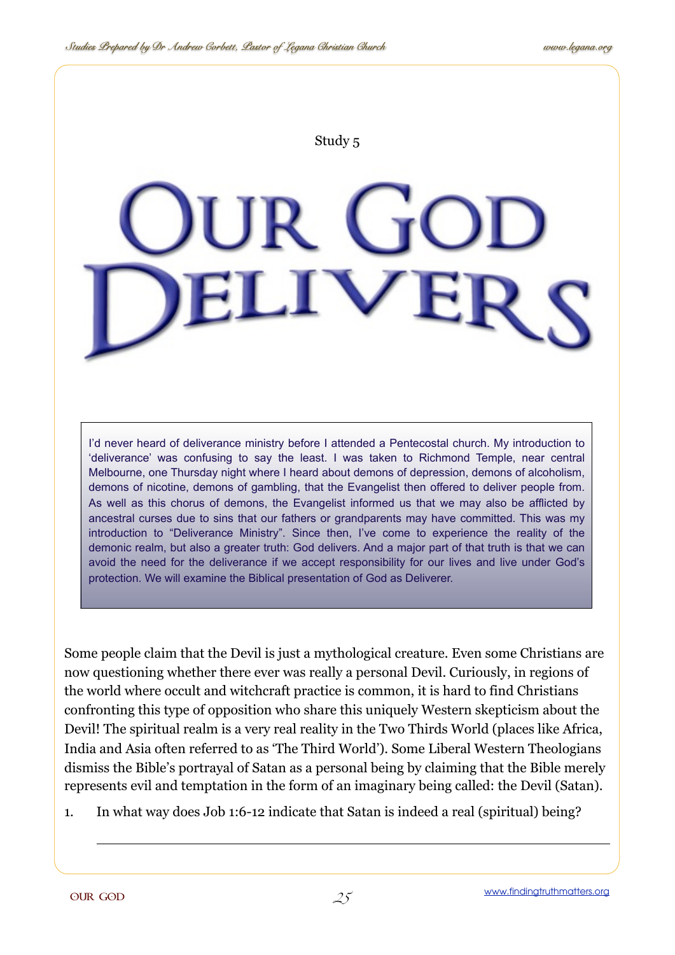Study 5

I'd never heard of deliverance ministry before I attended a Pentecostal church. My introduction to 'deliverance' was confusing to say the least. I was taken to Richmond Temple, near central Melbourne, one Thursday night where I heard about demons of depression, demons of alcoholism, demons of nicotine, demons of gambling, that the Evangelist then offered to deliver people from. As well as this chorus of demons, the Evangelist informed us that we may also be afflicted by ancestral curses due to sins that our fathers or grandparents may have committed. This was my introduction to "Deliverance Ministry". Since then, I've come to experience the reality of the demonic realm, but also a greater truth: God delivers. And a major part of that truth is that we can avoid the need for the deliverance if we accept responsibility for our lives and live under God's protection. We will examine the Biblical presentation of God as Deliverer.

Some people claim that the Devil is just a mythological creature. Even some Christians are now questioning whether there ever was really a personal Devil. Curiously, in regions of the world where occult and witchcraft practice is common, it is hard to find Christians confronting this type of opposition who share this uniquely Western skepticism about the Devil! The spiritual realm is a very real reality in the Two Thirds World (places like Africa, India and Asia often referred to as 'The Third World'). Some Liberal Western Theologians dismiss the Bible's portrayal of Satan as a personal being by claiming that the Bible merely represents evil and temptation in the form of an imaginary being called: the Devil (Satan).

1. In what way does Job 1:6-12 indicate that Satan is indeed a real (spiritual) being?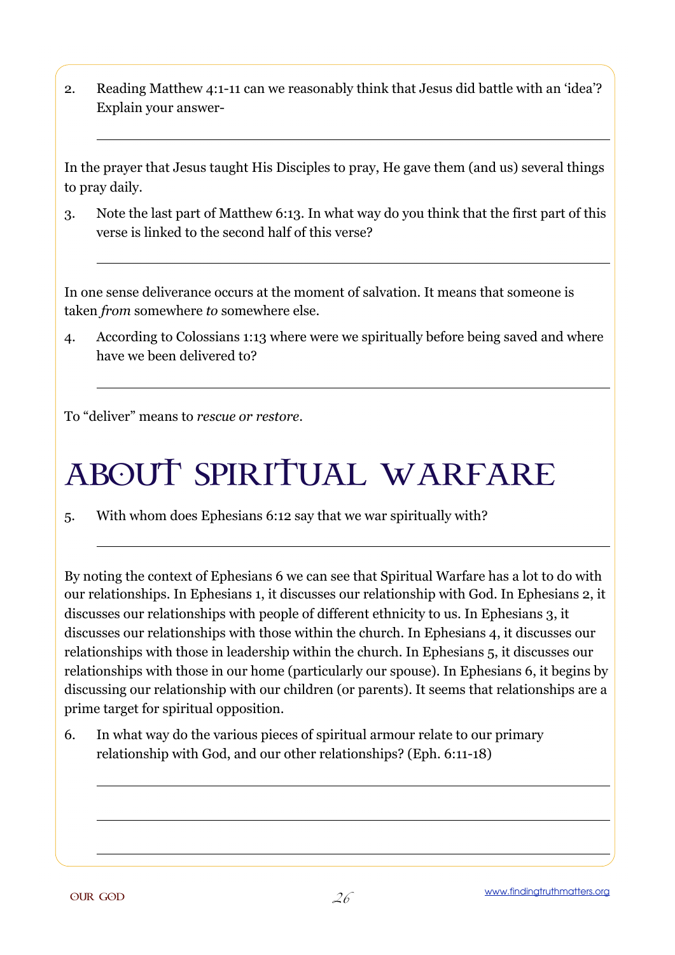2. Reading Matthew 4:1-11 can we reasonably think that Jesus did battle with an 'idea'? Explain your answer-

In the prayer that Jesus taught His Disciples to pray, He gave them (and us) several things to pray daily.

3. Note the last part of Matthew 6:13. In what way do you think that the first part of this verse is linked to the second half of this verse?

In one sense deliverance occurs at the moment of salvation. It means that someone is taken *from* somewhere *to* somewhere else.

4. According to Colossians 1:13 where were we spiritually before being saved and where have we been delivered to?

To "deliver" means to *rescue or restore*.

# ABOUT SPIRITUAL WARFARE

5. With whom does Ephesians 6:12 say that we war spiritually with?

By noting the context of Ephesians 6 we can see that Spiritual Warfare has a lot to do with our relationships. In Ephesians 1, it discusses our relationship with God. In Ephesians 2, it discusses our relationships with people of different ethnicity to us. In Ephesians 3, it discusses our relationships with those within the church. In Ephesians 4, it discusses our relationships with those in leadership within the church. In Ephesians 5, it discusses our relationships with those in our home (particularly our spouse). In Ephesians 6, it begins by discussing our relationship with our children (or parents). It seems that relationships are a prime target for spiritual opposition.

6. In what way do the various pieces of spiritual armour relate to our primary relationship with God, and our other relationships? (Eph. 6:11-18)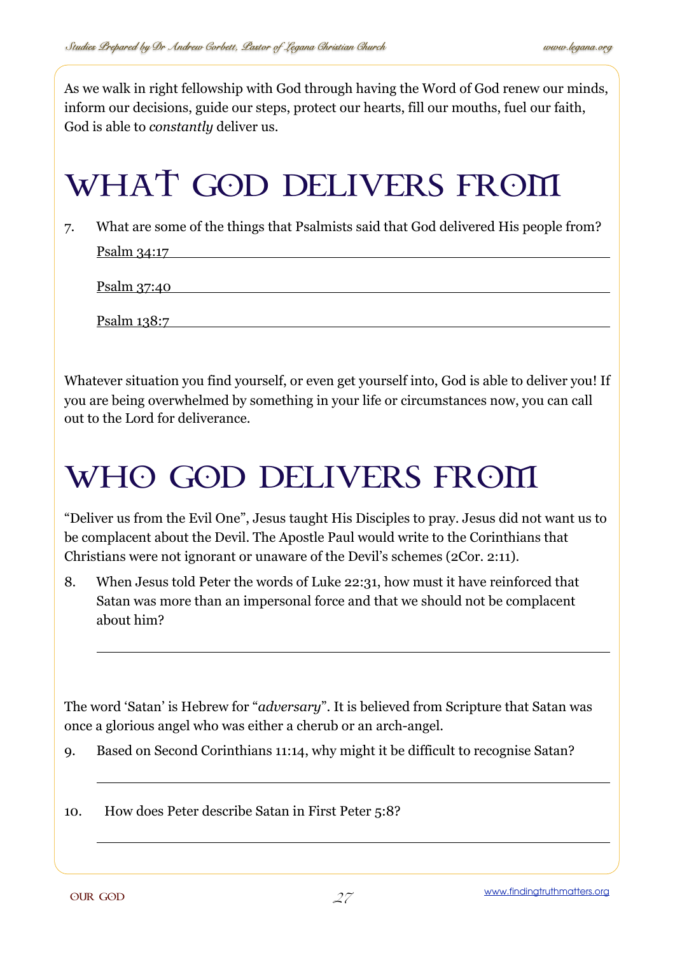As we walk in right fellowship with God through having the Word of God renew our minds, inform our decisions, guide our steps, protect our hearts, fill our mouths, fuel our faith, God is able to *constantly* deliver us.

### WHAT GOD DELIVERS FROM

7. What are some of the things that Psalmists said that God delivered His people from? Psalm 34:17

Psalm 37:40

Psalm 138:7

Whatever situation you find yourself, or even get yourself into, God is able to deliver you! If you are being overwhelmed by something in your life or circumstances now, you can call out to the Lord for deliverance.

### WHO GOD DELIVERS FROM

"Deliver us from the Evil One", Jesus taught His Disciples to pray. Jesus did not want us to be complacent about the Devil. The Apostle Paul would write to the Corinthians that Christians were not ignorant or unaware of the Devil's schemes (2Cor. 2:11).

8. When Jesus told Peter the words of Luke 22:31, how must it have reinforced that Satan was more than an impersonal force and that we should not be complacent about him?

The word 'Satan' is Hebrew for "*adversary*". It is believed from Scripture that Satan was once a glorious angel who was either a cherub or an arch-angel.

9. Based on Second Corinthians 11:14, why might it be difficult to recognise Satan?

10. How does Peter describe Satan in First Peter 5:8?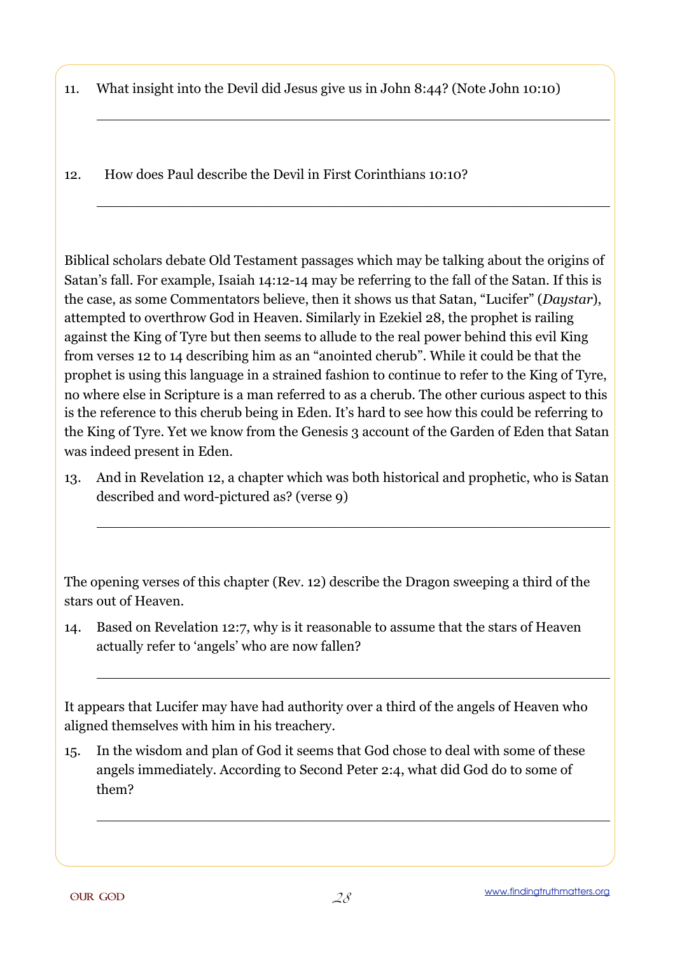11. What insight into the Devil did Jesus give us in John 8:44? (Note John 10:10)

12. How does Paul describe the Devil in First Corinthians 10:10?

Biblical scholars debate Old Testament passages which may be talking about the origins of Satan's fall. For example, Isaiah 14:12-14 may be referring to the fall of the Satan. If this is the case, as some Commentators believe, then it shows us that Satan, "Lucifer" (*Daystar*), attempted to overthrow God in Heaven. Similarly in Ezekiel 28, the prophet is railing against the King of Tyre but then seems to allude to the real power behind this evil King from verses 12 to 14 describing him as an "anointed cherub". While it could be that the prophet is using this language in a strained fashion to continue to refer to the King of Tyre, no where else in Scripture is a man referred to as a cherub. The other curious aspect to this is the reference to this cherub being in Eden. It's hard to see how this could be referring to the King of Tyre. Yet we know from the Genesis 3 account of the Garden of Eden that Satan was indeed present in Eden.

13. And in Revelation 12, a chapter which was both historical and prophetic, who is Satan described and word-pictured as? (verse 9)

The opening verses of this chapter (Rev. 12) describe the Dragon sweeping a third of the stars out of Heaven.

14. Based on Revelation 12:7, why is it reasonable to assume that the stars of Heaven actually refer to 'angels' who are now fallen?

It appears that Lucifer may have had authority over a third of the angels of Heaven who aligned themselves with him in his treachery.

15. In the wisdom and plan of God it seems that God chose to deal with some of these angels immediately. According to Second Peter 2:4, what did God do to some of them?